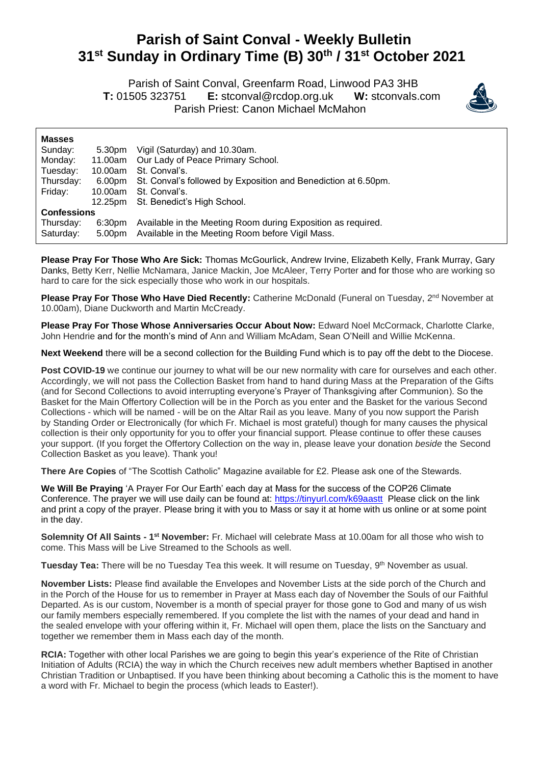## **Parish of Saint Conval - Weekly Bulletin 31 st Sunday in Ordinary Time (B) 30th / 31st October 2021**

 Parish of Saint Conval, Greenfarm Road, Linwood PA3 3HB **T:** 01505 323751 **E:** [stconval@rcdop.org.uk](mailto:stconval@rcdop.org.uk) **W:** stconvals.com Parish Priest: Canon Michael McMahon



| <b>Masses</b>      |                    |                                                                |
|--------------------|--------------------|----------------------------------------------------------------|
| Sunday:            | 5.30pm             | Vigil (Saturday) and 10.30am.                                  |
| Monday:            | 11.00am            | Our Lady of Peace Primary School.                              |
| Tuesday:           | 10.00am            | St. Conval's.                                                  |
| Thursday:          | 6.00pm             | St. Conval's followed by Exposition and Benediction at 6.50pm. |
| Friday:            | 10.00am            | St. Conval's.                                                  |
|                    | 12.25pm            | St. Benedict's High School.                                    |
| <b>Confessions</b> |                    |                                                                |
| Thursday:          | 6:30 <sub>pm</sub> | Available in the Meeting Room during Exposition as required.   |
| Saturday:          | 5.00 <sub>pm</sub> | Available in the Meeting Room before Vigil Mass.               |

**Please Pray For Those Who Are Sick:** Thomas McGourlick, Andrew Irvine, Elizabeth Kelly, Frank Murray, Gary Danks, Betty Kerr, Nellie McNamara, Janice Mackin, Joe McAleer, Terry Porter and for those who are working so hard to care for the sick especially those who work in our hospitals.

**Please Pray For Those Who Have Died Recently:** Catherine McDonald (Funeral on Tuesday, 2<sup>nd</sup> November at 10.00am), Diane Duckworth and Martin McCready.

**Please Pray For Those Whose Anniversaries Occur About Now:** Edward Noel McCormack, Charlotte Clarke, John Hendrie and for the month's mind of Ann and William McAdam, Sean O'Neill and Willie McKenna.

**Next Weekend** there will be a second collection for the Building Fund which is to pay off the debt to the Diocese.

Post COVID-19 we continue our journey to what will be our new normality with care for ourselves and each other. Accordingly, we will not pass the Collection Basket from hand to hand during Mass at the Preparation of the Gifts (and for Second Collections to avoid interrupting everyone's Prayer of Thanksgiving after Communion). So the Basket for the Main Offertory Collection will be in the Porch as you enter and the Basket for the various Second Collections - which will be named - will be on the Altar Rail as you leave. Many of you now support the Parish by Standing Order or Electronically (for which Fr. Michael is most grateful) though for many causes the physical collection is their only opportunity for you to offer your financial support. Please continue to offer these causes your support. (If you forget the Offertory Collection on the way in, please leave your donation *beside* the Second Collection Basket as you leave). Thank you!

**There Are Copies** of "The Scottish Catholic" Magazine available for £2. Please ask one of the Stewards.

**We Will Be Praying** 'A Prayer For Our Earth' each day at Mass for the success of the COP26 Climate Conference. The prayer we will use daily can be found at: <https://tinyurl.com/k69aastt> Please click on the link and print a copy of the prayer. Please bring it with you to Mass or say it at home with us online or at some point in the day.

Solemnity Of All Saints - 1<sup>st</sup> November: Fr. Michael will celebrate Mass at 10.00am for all those who wish to come. This Mass will be Live Streamed to the Schools as well.

Tuesday Tea: There will be no Tuesday Tea this week. It will resume on Tuesday, 9<sup>th</sup> November as usual.

**November Lists:** Please find available the Envelopes and November Lists at the side porch of the Church and in the Porch of the House for us to remember in Prayer at Mass each day of November the Souls of our Faithful Departed. As is our custom, November is a month of special prayer for those gone to God and many of us wish our family members especially remembered. If you complete the list with the names of your dead and hand in the sealed envelope with your offering within it, Fr. Michael will open them, place the lists on the Sanctuary and together we remember them in Mass each day of the month.

**RCIA:** Together with other local Parishes we are going to begin this year's experience of the Rite of Christian Initiation of Adults (RCIA) the way in which the Church receives new adult members whether Baptised in another Christian Tradition or Unbaptised. If you have been thinking about becoming a Catholic this is the moment to have a word with Fr. Michael to begin the process (which leads to Easter!).